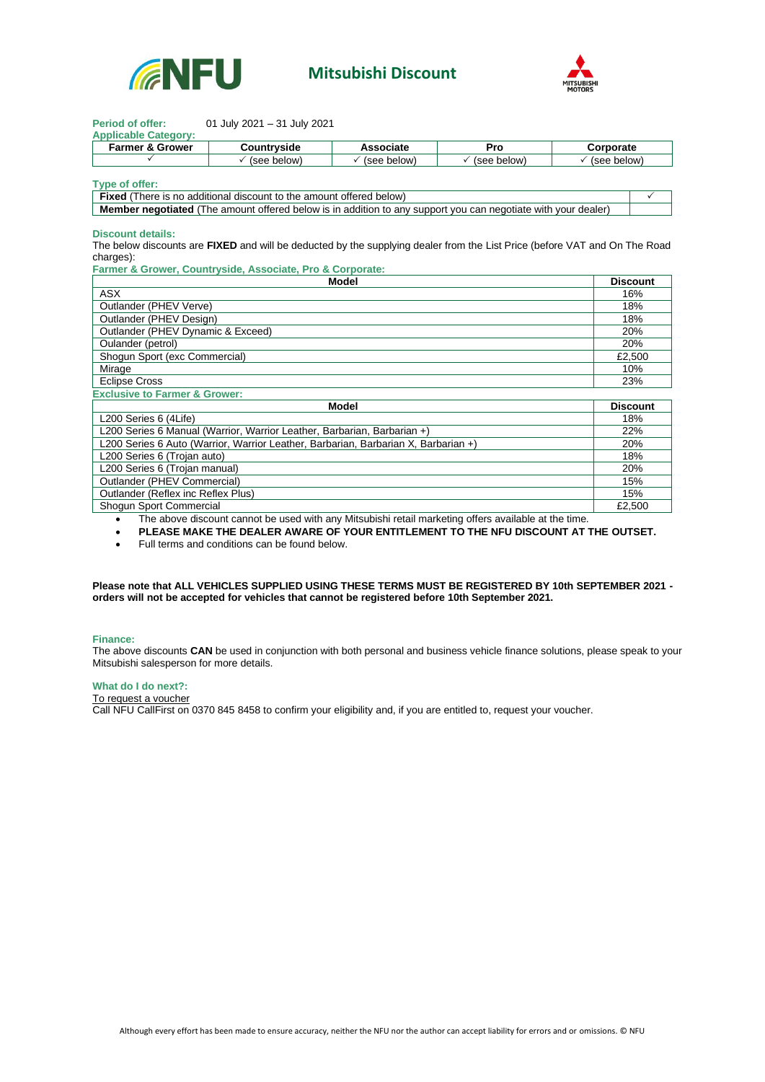

## **Mitsubishi Discount**



| <b>Period of offer:</b>                                                                                       | 01 July 2021 - 31 July 2021                                                                                                |                  |                          |  |                 |  |
|---------------------------------------------------------------------------------------------------------------|----------------------------------------------------------------------------------------------------------------------------|------------------|--------------------------|--|-----------------|--|
| <b>Applicable Category:</b>                                                                                   |                                                                                                                            |                  |                          |  |                 |  |
| <b>Farmer &amp; Grower</b>                                                                                    | Countryside                                                                                                                | <b>Associate</b> | Pro                      |  | Corporate       |  |
| ✓                                                                                                             | $\checkmark$ (see below)                                                                                                   | (see below)      | $\checkmark$ (see below) |  | (see below)     |  |
|                                                                                                               |                                                                                                                            |                  |                          |  |                 |  |
| Type of offer:                                                                                                |                                                                                                                            |                  |                          |  |                 |  |
| <b>Fixed</b> (There is no additional discount to the amount offered below)                                    |                                                                                                                            |                  |                          |  | ✓               |  |
| Member negotiated (The amount offered below is in addition to any support you can negotiate with your dealer) |                                                                                                                            |                  |                          |  |                 |  |
|                                                                                                               |                                                                                                                            |                  |                          |  |                 |  |
| Discount details:                                                                                             |                                                                                                                            |                  |                          |  |                 |  |
|                                                                                                               | The below discounts are FIXED and will be deducted by the supplying dealer from the List Price (before VAT and On The Road |                  |                          |  |                 |  |
| charges):                                                                                                     |                                                                                                                            |                  |                          |  |                 |  |
|                                                                                                               | Farmer & Grower, Countryside, Associate, Pro & Corporate:                                                                  |                  |                          |  |                 |  |
| Model                                                                                                         |                                                                                                                            |                  |                          |  | <b>Discount</b> |  |
| <b>ASX</b>                                                                                                    |                                                                                                                            |                  |                          |  | 16%             |  |
| Outlander (PHEV Verve)                                                                                        |                                                                                                                            |                  |                          |  | 18%             |  |
| Outlander (PHEV Design)                                                                                       |                                                                                                                            |                  |                          |  | 18%             |  |
| Outlander (PHEV Dynamic & Exceed)                                                                             |                                                                                                                            |                  |                          |  | 20%             |  |
| Oulander (petrol)                                                                                             |                                                                                                                            |                  |                          |  | 20%             |  |
| Shogun Sport (exc Commercial)                                                                                 |                                                                                                                            |                  |                          |  | £2,500          |  |
| Mirage                                                                                                        |                                                                                                                            |                  |                          |  | 10%             |  |
| <b>Eclipse Cross</b>                                                                                          |                                                                                                                            |                  |                          |  | 23%             |  |
| <b>Exclusive to Farmer &amp; Grower:</b>                                                                      |                                                                                                                            |                  |                          |  |                 |  |
| <b>Model</b>                                                                                                  |                                                                                                                            |                  |                          |  | <b>Discount</b> |  |
| L200 Series 6 (4Life)                                                                                         |                                                                                                                            |                  |                          |  | 18%             |  |
| L200 Series 6 Manual (Warrior, Warrior Leather, Barbarian, Barbarian +)                                       |                                                                                                                            |                  |                          |  | 22%             |  |
| L200 Series 6 Auto (Warrior, Warrior Leather, Barbarian, Barbarian X, Barbarian +)                            |                                                                                                                            |                  |                          |  | 20%             |  |
| L200 Series 6 (Trojan auto)                                                                                   |                                                                                                                            |                  |                          |  | 18%             |  |
| L200 Series 6 (Trojan manual)                                                                                 |                                                                                                                            |                  |                          |  | 20%             |  |
| Outlander (PHEV Commercial)                                                                                   |                                                                                                                            |                  |                          |  | 15%             |  |
| Outlander (Reflex inc Reflex Plus)                                                                            |                                                                                                                            |                  |                          |  | 15%             |  |
| Shogun Sport Commercial                                                                                       |                                                                                                                            |                  |                          |  | £2.500          |  |

• The above discount cannot be used with any Mitsubishi retail marketing offers available at the time.

• **PLEASE MAKE THE DEALER AWARE OF YOUR ENTITLEMENT TO THE NFU DISCOUNT AT THE OUTSET.**

• Full terms and conditions can be found below.

**Please note that ALL VEHICLES SUPPLIED USING THESE TERMS MUST BE REGISTERED BY 10th SEPTEMBER 2021 orders will not be accepted for vehicles that cannot be registered before 10th September 2021.** 

## **Finance:**

The above discounts **CAN** be used in conjunction with both personal and business vehicle finance solutions, please speak to your Mitsubishi salesperson for more details.

## **What do I do next?:**

To request a voucher

Call NFU CallFirst on 0370 845 8458 to confirm your eligibility and, if you are entitled to, request your voucher.